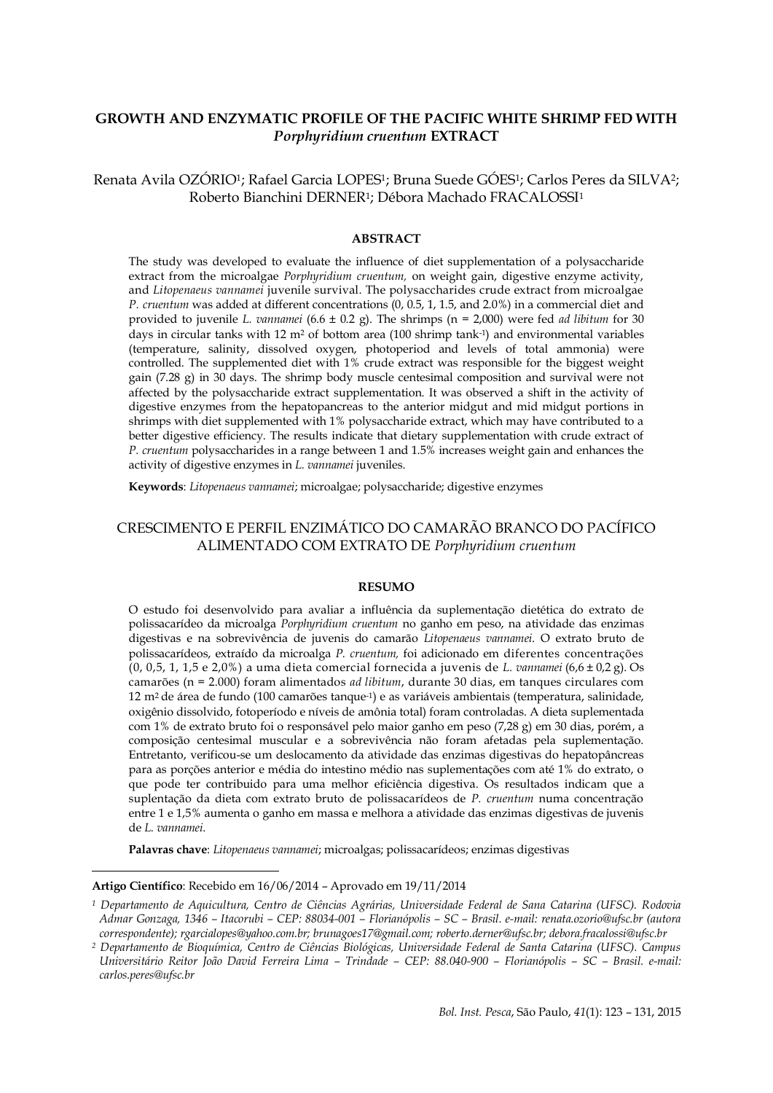# **GROWTH AND ENZYMATIC PROFILE OF THE PACIFIC WHITE SHRIMP FED WITH**  *Porphyridium cruentum* **EXTRACT**

Renata Avila OZÓRIO1; Rafael Garcia LOPES1; Bruna Suede GÓES1; Carlos Peres da SILVA2; Roberto Bianchini DERNER1; Débora Machado FRACALOSSI<sup>1</sup>

## **ABSTRACT**

The study was developed to evaluate the influence of diet supplementation of a polysaccharide extract from the microalgae *Porphyridium cruentum,* on weight gain, digestive enzyme activity, and *Litopenaeus vannamei* juvenile survival. The polysaccharides crude extract from microalgae *P. cruentum* was added at different concentrations (0, 0.5, 1, 1.5, and 2.0%) in a commercial diet and provided to juvenile *L. vannamei* (6.6 ± 0.2 g). The shrimps (n = 2,000) were fed *ad libitum* for 30 days in circular tanks with 12 m<sup>2</sup> of bottom area (100 shrimp tank-1) and environmental variables (temperature, salinity, dissolved oxygen, photoperiod and levels of total ammonia) were controlled. The supplemented diet with 1% crude extract was responsible for the biggest weight gain (7.28 g) in 30 days. The shrimp body muscle centesimal composition and survival were not affected by the polysaccharide extract supplementation. It was observed a shift in the activity of digestive enzymes from the hepatopancreas to the anterior midgut and mid midgut portions in shrimps with diet supplemented with 1% polysaccharide extract, which may have contributed to a better digestive efficiency. The results indicate that dietary supplementation with crude extract of *P. cruentum* polysaccharides in a range between 1 and 1.5% increases weight gain and enhances the activity of digestive enzymes in *L. vannamei* juveniles.

**Keywords**: *Litopenaeus vannamei*; microalgae; polysaccharide; digestive enzymes

# CRESCIMENTO E PERFIL ENZIMÁTICO DO CAMARÃO BRANCO DO PACÍFICO ALIMENTADO COM EXTRATO DE *Porphyridium cruentum*

#### **RESUMO**

O estudo foi desenvolvido para avaliar a influência da suplementação dietética do extrato de polissacarídeo da microalga *Porphyridium cruentum* no ganho em peso, na atividade das enzimas digestivas e na sobrevivência de juvenis do camarão *Litopenaeus vannamei*. O extrato bruto de polissacarídeos, extraído da microalga *P. cruentum,* foi adicionado em diferentes concentrações (0, 0,5, 1, 1,5 e 2,0%) a uma dieta comercial fornecida a juvenis de *L. vannamei* (6,6 ± 0,2 g). Os camarões (n = 2.000) foram alimentados *ad libitum*, durante 30 dias, em tanques circulares com 12 m2 de área de fundo (100 camarões tanque-1) e as variáveis ambientais (temperatura, salinidade, oxigênio dissolvido, fotoperíodo e níveis de amônia total) foram controladas. A dieta suplementada com 1% de extrato bruto foi o responsável pelo maior ganho em peso (7,28 g) em 30 dias, porém, a composição centesimal muscular e a sobrevivência não foram afetadas pela suplementação. Entretanto, verificou-se um deslocamento da atividade das enzimas digestivas do hepatopâncreas para as porções anterior e média do intestino médio nas suplementações com até 1% do extrato, o que pode ter contribuido para uma melhor eficiência digestiva. Os resultados indicam que a suplentação da dieta com extrato bruto de polissacarídeos de *P. cruentum* numa concentração entre 1 e 1,5% aumenta o ganho em massa e melhora a atividade das enzimas digestivas de juvenis de *L. vannamei*.

**Palavras chave**: *Litopenaeus vannamei*; microalgas; polissacarídeos; enzimas digestivas

**Artigo Científico**: Recebido em 16/06/2014 – Aprovado em 19/11/2014

-

*<sup>1</sup> Departamento de Aquicultura, Centro de Ciências Agrárias, Universidade Federal de Sana Catarina (UFSC). Rodovia Admar Gonzaga, 1346 – Itacorubi – CEP: 88034-001 – Florianópolis – SC – Brasil. e-mail: renata.ozorio@ufsc.br (autora correspondente); rgarcialopes@yahoo.com.br; brunagoes17@gmail.com; roberto.derner@ufsc.br; debora.fracalossi@ufsc.br*

*<sup>2</sup> Departamento de Bioquímica, Centro de Ciências Biológicas, Universidade Federal de Santa Catarina (UFSC). Campus Universitário Reitor João David Ferreira Lima – Trindade – CEP: 88.040-900 – Florianópolis – SC – Brasil. e-mail: carlos.peres@ufsc.br*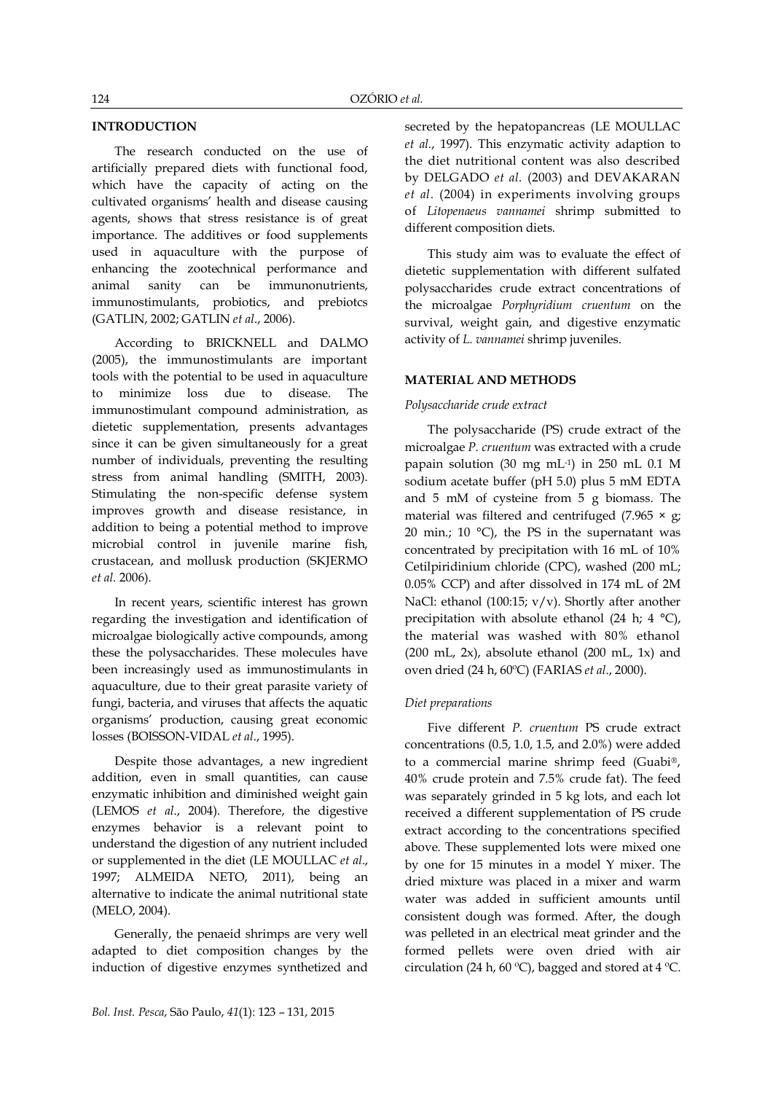# **INTRODUCTION**

The research conducted on the use of artificially prepared diets with functional food, which have the capacity of acting on the cultivated organisms' health and disease causing agents, shows that stress resistance is of great importance. The additives or food supplements used in aquaculture with the purpose of enhancing the zootechnical performance and animal sanity can be immunonutrients, immunostimulants, probiotics, and prebiotcs (GATLIN, 2002; GATLIN *et al*., 2006).

According to BRICKNELL and DALMO (2005), the immunostimulants are important tools with the potential to be used in aquaculture to minimize loss due to disease. The immunostimulant compound administration, as dietetic supplementation, presents advantages since it can be given simultaneously for a great number of individuals, preventing the resulting stress from animal handling (SMITH, 2003). Stimulating the non-specific defense system improves growth and disease resistance, in addition to being a potential method to improve microbial control in juvenile marine fish, crustacean, and mollusk production (SKJERMO *et al.* 2006).

In recent years, scientific interest has grown regarding the investigation and identification of microalgae biologically active compounds, among these the polysaccharides. These molecules have been increasingly used as immunostimulants in aquaculture, due to their great parasite variety of fungi, bacteria, and viruses that affects the aquatic organisms' production, causing great economic losses (BOISSON-VIDAL *et al*., 1995).

Despite those advantages, a new ingredient addition, even in small quantities, can cause enzymatic inhibition and diminished weight gain (LEMOS *et al*., 2004). Therefore, the digestive enzymes behavior is a relevant point to understand the digestion of any nutrient included or supplemented in the diet (LE MOULLAC *et al*., 1997; ALMEIDA NETO, 2011), being an alternative to indicate the animal nutritional state (MELO, 2004).

Generally, the penaeid shrimps are very well adapted to diet composition changes by the induction of digestive enzymes synthetized and secreted by the hepatopancreas (LE MOULLAC *et al.*, 1997). This enzymatic activity adaption to the diet nutritional content was also described by DELGADO *et al*. (2003) and DEVAKARAN *et al*. (2004) in experiments involving groups of *Litopenaeus vannamei* shrimp submitted to different composition diets.

This study aim was to evaluate the effect of dietetic supplementation with different sulfated polysaccharides crude extract concentrations of the microalgae *Porphyridium cruentum* on the survival, weight gain, and digestive enzymatic activity of *L. vannamei* shrimp juveniles.

# **MATERIAL AND METHODS**

## *Polysaccharide crude extract*

The polysaccharide (PS) crude extract of the microalgae *P. cruentum* was extracted with a crude papain solution (30 mg mL-1 ) in 250 mL 0.1 M sodium acetate buffer (pH 5.0) plus 5 mM EDTA and 5 mM of cysteine from 5 g biomass. The material was filtered and centrifuged (7.965  $\times$  g; 20 min.; 10  $^{\circ}$ C), the PS in the supernatant was concentrated by precipitation with 16 mL of 10% Cetilpiridinium chloride (CPC), washed (200 mL; 0.05% CCP) and after dissolved in 174 mL of 2M NaCl: ethanol (100:15; v/v). Shortly after another precipitation with absolute ethanol (24 h; 4 °C), the material was washed with 80% ethanol  $(200 \text{ mL}, 2x)$ , absolute ethanol  $(200 \text{ mL}, 1x)$  and oven dried (24 h, 60ºC) (FARIAS *et al*., 2000).

#### *Diet preparations*

Five different *P. cruentum* PS crude extract concentrations (0.5, 1.0, 1.5, and 2.0%) were added to a commercial marine shrimp feed (Guabi®, 40% crude protein and 7.5% crude fat). The feed was separately grinded in 5 kg lots, and each lot received a different supplementation of PS crude extract according to the concentrations specified above. These supplemented lots were mixed one by one for 15 minutes in a model Y mixer. The dried mixture was placed in a mixer and warm water was added in sufficient amounts until consistent dough was formed. After, the dough was pelleted in an electrical meat grinder and the formed pellets were oven dried with air circulation (24 h, 60 ºC), bagged and stored at 4 ºC.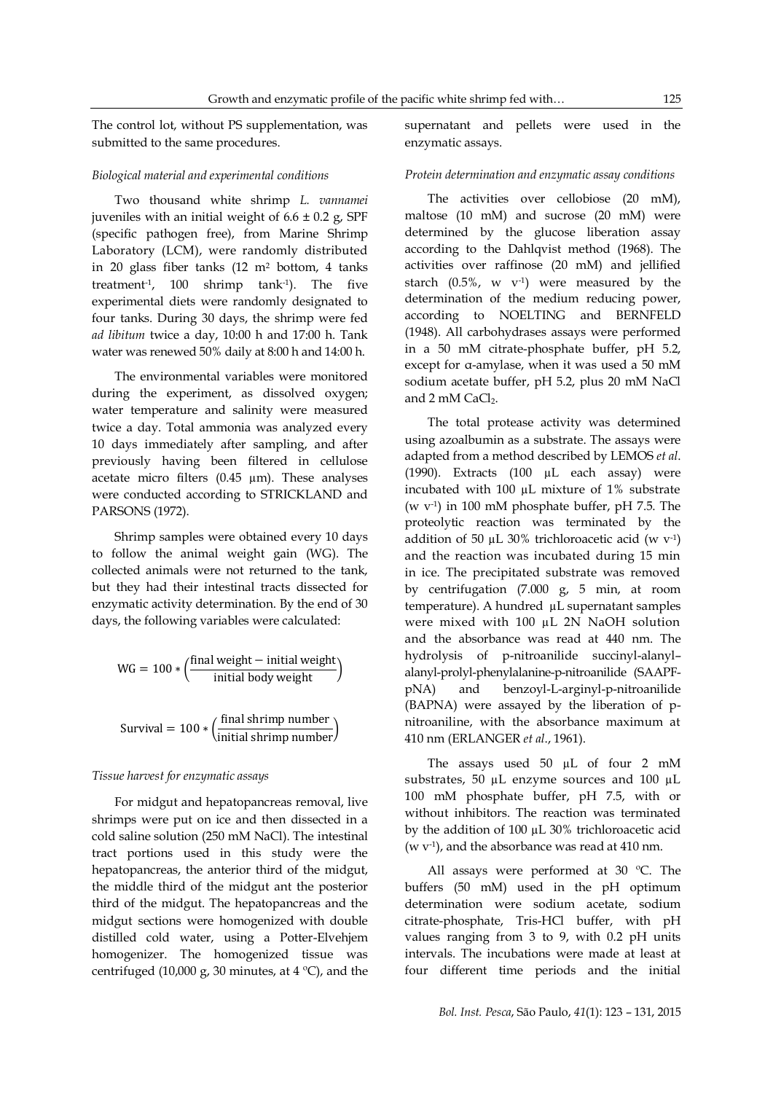The control lot, without PS supplementation, was submitted to the same procedures.

#### *Biological material and experimental conditions*

Two thousand white shrimp *L. vannamei*  juveniles with an initial weight of  $6.6 \pm 0.2$  g, SPF (specific pathogen free), from Marine Shrimp Laboratory (LCM), were randomly distributed in 20 glass fiber tanks (12 m<sup>2</sup> bottom, 4 tanks treatment-1 , 100 shrimp tank-1 ). The five experimental diets were randomly designated to four tanks. During 30 days, the shrimp were fed *ad libitum* twice a day, 10:00 h and 17:00 h. Tank water was renewed 50% daily at 8:00 h and 14:00 h.

The environmental variables were monitored during the experiment, as dissolved oxygen; water temperature and salinity were measured twice a day. Total ammonia was analyzed every 10 days immediately after sampling, and after previously having been filtered in cellulose acetate micro filters  $(0.45 \mu m)$ . These analyses were conducted according to STRICKLAND and PARSONS (1972).

Shrimp samples were obtained every 10 days to follow the animal weight gain (WG). The collected animals were not returned to the tank, but they had their intestinal tracts dissected for enzymatic activity determination. By the end of 30 days, the following variables were calculated:

$$
WG = 100 * \left(\frac{final \text{ weight} - initial \text{ weight}}{\text{initial body weight}}\right)
$$

Survival =  $100 * (\frac{f}{f})$ i

#### *Tissue harvest for enzymatic assays*

For midgut and hepatopancreas removal, live shrimps were put on ice and then dissected in a cold saline solution (250 mM NaCl). The intestinal tract portions used in this study were the hepatopancreas, the anterior third of the midgut, the middle third of the midgut ant the posterior third of the midgut. The hepatopancreas and the midgut sections were homogenized with double distilled cold water, using a Potter-Elvehjem homogenizer. The homogenized tissue was centrifuged (10,000 g, 30 minutes, at 4 °C), and the

supernatant and pellets were used in the enzymatic assays.

#### *Protein determination and enzymatic assay conditions*

The activities over cellobiose (20 mM), maltose (10 mM) and sucrose (20 mM) were determined by the glucose liberation assay according to the Dahlqvist method (1968). The activities over raffinose (20 mM) and jellified starch  $(0.5\%$ , w  $v^{-1}$ ) were measured by the determination of the medium reducing power, according to NOELTING and BERNFELD (1948). All carbohydrases assays were performed in a 50 mM citrate-phosphate buffer, pH 5.2, except for α-amylase, when it was used a 50 mM sodium acetate buffer, pH 5.2, plus 20 mM NaCl and  $2 \text{ mM }$  CaCl<sub>2</sub>.

The total protease activity was determined using azoalbumin as a substrate. The assays were adapted from a method described by LEMOS *et al*. (1990). Extracts (100 µL each assay) were incubated with 100 µL mixture of 1% substrate (w v-1 ) in 100 mM phosphate buffer, pH 7.5. The proteolytic reaction was terminated by the addition of 50  $\mu$ L 30% trichloroacetic acid (w v<sup>-1</sup>) and the reaction was incubated during 15 min in ice. The precipitated substrate was removed by centrifugation (7.000 g, 5 min, at room temperature). A hundred µL supernatant samples were mixed with 100 µL 2N NaOH solution and the absorbance was read at 440 nm. The hydrolysis of p-nitroanilide succinyl-alanyl– alanyl-prolyl-phenylalanine-p-nitroanilide (SAAPFpNA) and benzoyl-L-arginyl-p-nitroanilide (BAPNA) were assayed by the liberation of pnitroaniline, with the absorbance maximum at 410 nm (ERLANGER *et al*., 1961).

The assays used 50 µL of four 2 mM substrates, 50 µL enzyme sources and 100 µL 100 mM phosphate buffer, pH 7.5, with or without inhibitors. The reaction was terminated by the addition of 100 µL 30% trichloroacetic acid (w v-1 ), and the absorbance was read at 410 nm.

All assays were performed at 30 ºC. The buffers (50 mM) used in the pH optimum determination were sodium acetate, sodium citrate-phosphate, Tris-HCl buffer, with pH values ranging from 3 to 9, with 0.2 pH units intervals. The incubations were made at least at four different time periods and the initial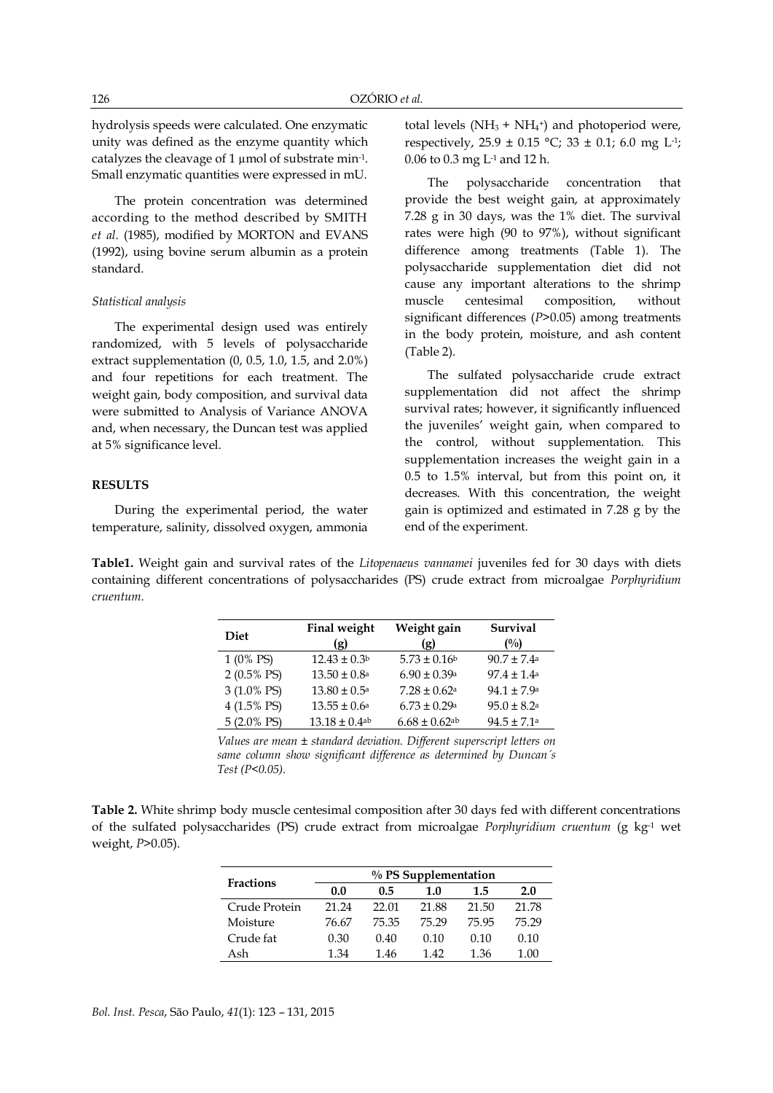hydrolysis speeds were calculated. One enzymatic unity was defined as the enzyme quantity which catalyzes the cleavage of  $1 \mu$ mol of substrate min $\cdot$ <sup>1</sup>. Small enzymatic quantities were expressed in mU.

The protein concentration was determined according to the method described by SMITH *et al*. (1985), modified by MORTON and EVANS (1992), using bovine serum albumin as a protein standard.

#### *Statistical analysis*

The experimental design used was entirely randomized, with 5 levels of polysaccharide extract supplementation (0, 0.5, 1.0, 1.5, and 2.0%) and four repetitions for each treatment. The weight gain, body composition, and survival data were submitted to Analysis of Variance ANOVA and, when necessary, the Duncan test was applied at 5% significance level.

### **RESULTS**

During the experimental period, the water temperature, salinity, dissolved oxygen, ammonia

total levels ( $NH<sub>3</sub> + NH<sub>4</sub>$ <sup>+</sup>) and photoperiod were, respectively,  $25.9 \pm 0.15$  °C;  $33 \pm 0.1$ ; 6.0 mg L<sup>1</sup>; 0.06 to 0.3 mg L-1 and 12 h.

The polysaccharide concentration that provide the best weight gain, at approximately 7.28 g in 30 days, was the 1% diet. The survival rates were high (90 to 97%), without significant difference among treatments (Table 1). The polysaccharide supplementation diet did not cause any important alterations to the shrimp muscle centesimal composition, without significant differences (*P*>0.05) among treatments in the body protein, moisture, and ash content (Table 2).

The sulfated polysaccharide crude extract supplementation did not affect the shrimp survival rates; however, it significantly influenced the juveniles' weight gain, when compared to the control, without supplementation. This supplementation increases the weight gain in a 0.5 to 1.5% interval, but from this point on, it decreases. With this concentration, the weight gain is optimized and estimated in 7.28 g by the end of the experiment.

**Table1.** Weight gain and survival rates of the *Litopenaeus vannamei* juveniles fed for 30 days with diets containing different concentrations of polysaccharides (PS) crude extract from microalgae *Porphyridium cruentum.*

| <b>Diet</b>           | Final weight<br>(g)           | Weight gain<br>(g)            | <b>Survival</b><br>(%)      |
|-----------------------|-------------------------------|-------------------------------|-----------------------------|
| 1 (0% PS)             | $12.43 \pm 0.3b$              | $5.73 \pm 0.16$               | $90.7 \pm 7.4$ <sup>a</sup> |
| $2(0.5\% \text{ PS})$ | $13.50 \pm 0.8^{\circ}$       | $6.90 \pm 0.39$ a             | $97.4 \pm 1.4$ <sup>a</sup> |
| 3 (1.0% PS)           | $13.80 \pm 0.5^{\text{a}}$    | $7.28 \pm 0.62$ <sup>a</sup>  | $94.1 \pm 7.9^{\circ}$      |
| 4 (1.5% PS)           | $13.55 \pm 0.6^{\text{a}}$    | $6.73 \pm 0.29$ <sup>a</sup>  | $95.0 \pm 8.2$ <sup>a</sup> |
| $5(2.0\% \text{ PS})$ | $13.18 \pm 0.4$ <sup>ab</sup> | $6.68 \pm 0.62$ <sup>ab</sup> | $94.5 \pm 7.1$ <sup>a</sup> |

*Values are mean ± standard deviation. Different superscript letters on same column show significant difference as determined by Duncan´s Test (P<0.05).*

**Table 2.** White shrimp body muscle centesimal composition after 30 days fed with different concentrations of the sulfated polysaccharides (PS) crude extract from microalgae *Porphyridium cruentum* (g kg-1 wet weight, *P*>0.05).

| <b>Fractions</b> | $\%$ PS Supplementation |       |       |       |       |
|------------------|-------------------------|-------|-------|-------|-------|
|                  | 0.0                     | 0.5   | 1.0   | 1.5   | 2.0   |
| Crude Protein    | 21.24                   | 22.01 | 21.88 | 21.50 | 21.78 |
| Moisture         | 76.67                   | 75.35 | 75.29 | 75.95 | 75.29 |
| Crude fat        | 0.30                    | 0.40  | 0.10  | 0.10  | 0.10  |
| Ash              | 1.34                    | 1.46  | 142   | 1.36  | 1.00  |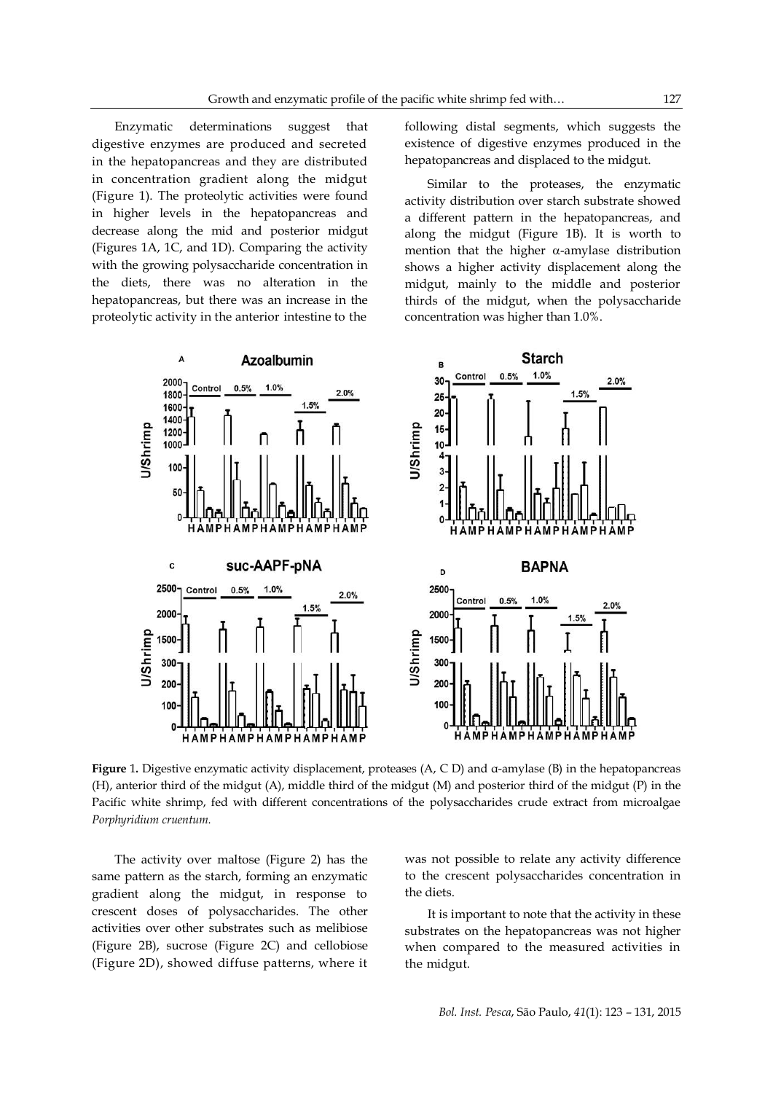Enzymatic determinations suggest that digestive enzymes are produced and secreted in the hepatopancreas and they are distributed in concentration gradient along the midgut (Figure 1). The proteolytic activities were found in higher levels in the hepatopancreas and decrease along the mid and posterior midgut (Figures 1A, 1C, and 1D). Comparing the activity with the growing polysaccharide concentration in the diets, there was no alteration in the hepatopancreas, but there was an increase in the proteolytic activity in the anterior intestine to the

following distal segments, which suggests the existence of digestive enzymes produced in the hepatopancreas and displaced to the midgut.

Similar to the proteases, the enzymatic activity distribution over starch substrate showed a different pattern in the hepatopancreas, and along the midgut (Figure 1B). It is worth to mention that the higher  $\alpha$ -amylase distribution shows a higher activity displacement along the midgut, mainly to the middle and posterior thirds of the midgut, when the polysaccharide concentration was higher than 1.0%.



**Figure** 1**.** Digestive enzymatic activity displacement, proteases (A, C D) and α-amylase (B) in the hepatopancreas (H), anterior third of the midgut (A), middle third of the midgut (M) and posterior third of the midgut (P) in the Pacific white shrimp, fed with different concentrations of the polysaccharides crude extract from microalgae *Porphyridium cruentum.*

The activity over maltose (Figure 2) has the same pattern as the starch, forming an enzymatic gradient along the midgut, in response to crescent doses of polysaccharides. The other activities over other substrates such as melibiose (Figure 2B), sucrose (Figure 2C) and cellobiose (Figure 2D), showed diffuse patterns, where it

was not possible to relate any activity difference to the crescent polysaccharides concentration in the diets.

It is important to note that the activity in these substrates on the hepatopancreas was not higher when compared to the measured activities in the midgut.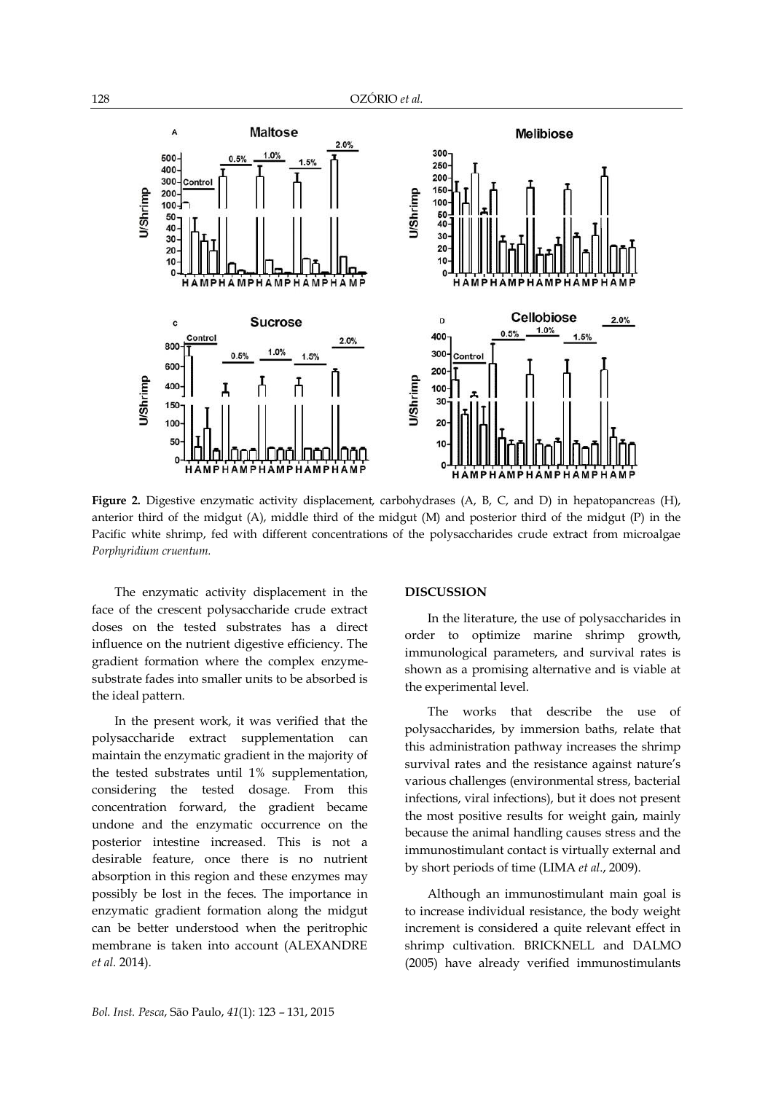

**Figure 2.** Digestive enzymatic activity displacement, carbohydrases (A, B, C, and D) in hepatopancreas (H), anterior third of the midgut (A), middle third of the midgut (M) and posterior third of the midgut (P) in the Pacific white shrimp, fed with different concentrations of the polysaccharides crude extract from microalgae *Porphyridium cruentum.*

The enzymatic activity displacement in the face of the crescent polysaccharide crude extract doses on the tested substrates has a direct influence on the nutrient digestive efficiency. The gradient formation where the complex enzymesubstrate fades into smaller units to be absorbed is the ideal pattern.

In the present work, it was verified that the polysaccharide extract supplementation can maintain the enzymatic gradient in the majority of the tested substrates until 1% supplementation, considering the tested dosage. From this concentration forward, the gradient became undone and the enzymatic occurrence on the posterior intestine increased. This is not a desirable feature, once there is no nutrient absorption in this region and these enzymes may possibly be lost in the feces. The importance in enzymatic gradient formation along the midgut can be better understood when the peritrophic membrane is taken into account (ALEXANDRE *et al.* 2014).

#### **DISCUSSION**

In the literature, the use of polysaccharides in order to optimize marine shrimp growth, immunological parameters, and survival rates is shown as a promising alternative and is viable at the experimental level.

The works that describe the use of polysaccharides, by immersion baths, relate that this administration pathway increases the shrimp survival rates and the resistance against nature's various challenges (environmental stress, bacterial infections, viral infections), but it does not present the most positive results for weight gain, mainly because the animal handling causes stress and the immunostimulant contact is virtually external and by short periods of time (LIMA *et al*., 2009).

Although an immunostimulant main goal is to increase individual resistance, the body weight increment is considered a quite relevant effect in shrimp cultivation. BRICKNELL and DALMO (2005) have already verified immunostimulants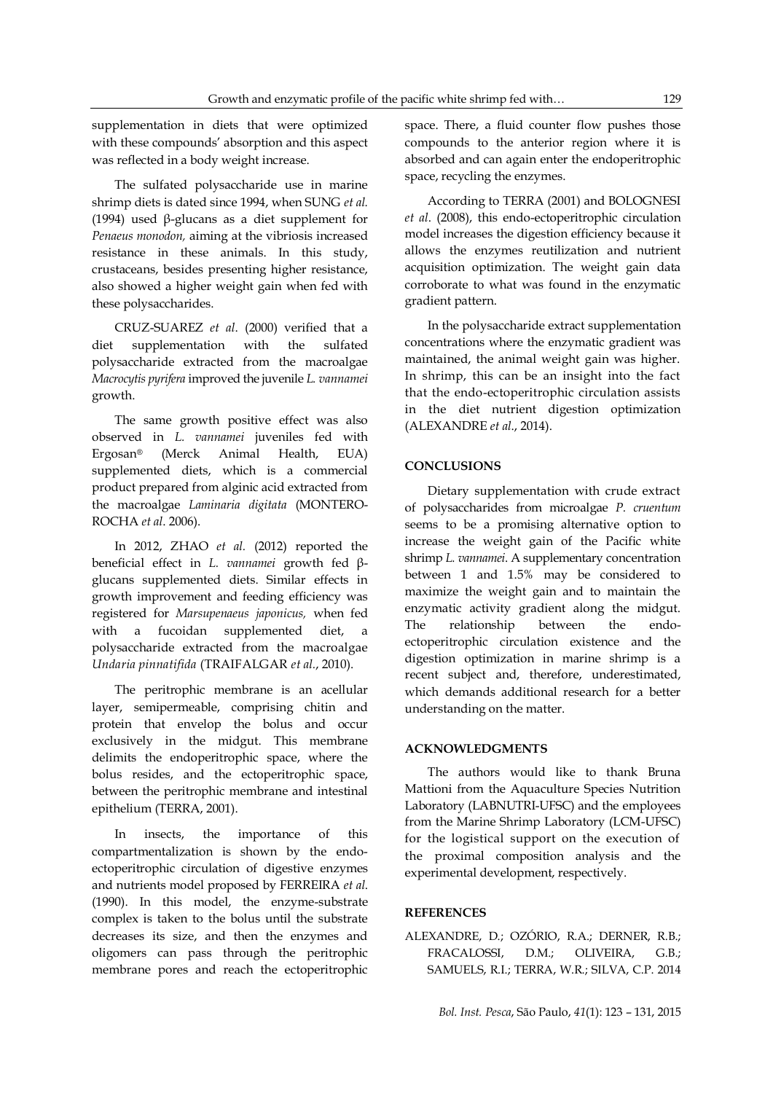supplementation in diets that were optimized with these compounds' absorption and this aspect was reflected in a body weight increase.

The sulfated polysaccharide use in marine shrimp diets is dated since 1994, when SUNG *et al.* (1994) used β-glucans as a diet supplement for *Penaeus monodon,* aiming at the vibriosis increased resistance in these animals. In this study, crustaceans, besides presenting higher resistance, also showed a higher weight gain when fed with these polysaccharides.

CRUZ-SUAREZ *et al*. (2000) verified that a diet supplementation with the sulfated polysaccharide extracted from the macroalgae *Macrocytis pyrifera* improved the juvenile *L. vannamei* growth.

The same growth positive effect was also observed in *L. vannamei* juveniles fed with Ergosan® (Merck Animal Health, EUA) supplemented diets, which is a commercial product prepared from alginic acid extracted from the macroalgae *Laminaria digitata* (MONTERO-ROCHA *et al*. 2006).

In 2012, ZHAO *et al.* (2012) reported the beneficial effect in *L. vannamei* growth fed βglucans supplemented diets. Similar effects in growth improvement and feeding efficiency was registered for *Marsupenaeus japonicus,* when fed with a fucoidan supplemented diet, a polysaccharide extracted from the macroalgae *Undaria pinnatifida* (TRAIFALGAR *et al.*, 2010).

The peritrophic membrane is an acellular layer, semipermeable, comprising chitin and protein that envelop the bolus and occur exclusively in the midgut. This membrane delimits the endoperitrophic space, where the bolus resides, and the ectoperitrophic space, between the peritrophic membrane and intestinal epithelium (TERRA, 2001).

In insects, the importance of this compartmentalization is shown by the endoectoperitrophic circulation of digestive enzymes and nutrients model proposed by FERREIRA *et al*. (1990). In this model, the enzyme-substrate complex is taken to the bolus until the substrate decreases its size, and then the enzymes and oligomers can pass through the peritrophic membrane pores and reach the ectoperitrophic

space. There, a fluid counter flow pushes those compounds to the anterior region where it is absorbed and can again enter the endoperitrophic space, recycling the enzymes.

According to TERRA (2001) and BOLOGNESI *et al*. (2008), this endo-ectoperitrophic circulation model increases the digestion efficiency because it allows the enzymes reutilization and nutrient acquisition optimization. The weight gain data corroborate to what was found in the enzymatic gradient pattern.

In the polysaccharide extract supplementation concentrations where the enzymatic gradient was maintained, the animal weight gain was higher. In shrimp, this can be an insight into the fact that the endo-ectoperitrophic circulation assists in the diet nutrient digestion optimization (ALEXANDRE *et al*., 2014).

### **CONCLUSIONS**

Dietary supplementation with crude extract of polysaccharides from microalgae *P. cruentum* seems to be a promising alternative option to increase the weight gain of the Pacific white shrimp *L. vannamei*. A supplementary concentration between 1 and 1.5% may be considered to maximize the weight gain and to maintain the enzymatic activity gradient along the midgut. The relationship between the endoectoperitrophic circulation existence and the digestion optimization in marine shrimp is a recent subject and, therefore, underestimated, which demands additional research for a better understanding on the matter.

# **ACKNOWLEDGMENTS**

The authors would like to thank Bruna Mattioni from the Aquaculture Species Nutrition Laboratory (LABNUTRI-UFSC) and the employees from the Marine Shrimp Laboratory (LCM-UFSC) for the logistical support on the execution of the proximal composition analysis and the experimental development, respectively.

### **REFERENCES**

ALEXANDRE, D.; OZÓRIO, R.A.; DERNER, R.B.; FRACALOSSI, D.M.; OLIVEIRA, G.B.; SAMUELS, R.I.; TERRA, W.R.; SILVA, C.P. 2014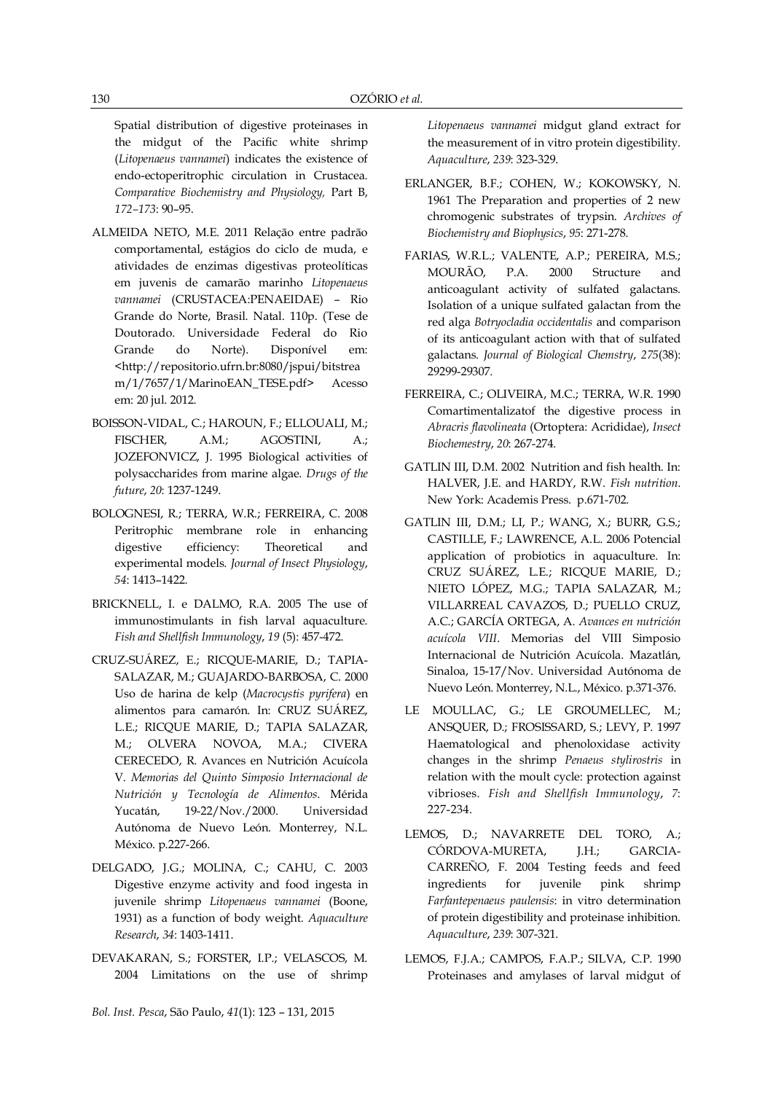Spatial distribution of digestive proteinases in the midgut of the Pacific white shrimp (*Litopenaeus vannamei*) indicates the existence of endo-ectoperitrophic circulation in Crustacea. *Comparative Biochemistry and Physiology,* Part B, *172–173*: 90–95.

- ALMEIDA NETO, M.E. 2011 Relação entre padrão comportamental, estágios do ciclo de muda, e atividades de enzimas digestivas proteolíticas em juvenis de camarão marinho *Litopenaeus vannamei* (CRUSTACEA:PENAEIDAE) – Rio Grande do Norte, Brasil. Natal. 110p. (Tese de Doutorado. Universidade Federal do Rio Grande do Norte). Disponível em: <http://repositorio.ufrn.br:8080/jspui/bitstrea m/1/7657/1/MarinoEAN\_TESE.pdf> Acesso em: 20 jul. 2012.
- BOISSON-VIDAL, C.; HAROUN, F.; ELLOUALI, M.; FISCHER, A.M.; AGOSTINI, A.; JOZEFONVICZ, J. 1995 Biological activities of polysaccharides from marine algae. *Drugs of the future*, *20*: 1237-1249.
- BOLOGNESI, R.; TERRA, W.R.; FERREIRA, C. 2008 Peritrophic membrane role in enhancing digestive efficiency: Theoretical and experimental models. *Journal of Insect Physiology*, *54*: 1413–1422.
- BRICKNELL, I. e DALMO, R.A. 2005 The use of immunostimulants in fish larval aquaculture. *Fish and Shellfish Immunology*, *19* (5): 457-472.
- CRUZ-SUÁREZ, E.; RICQUE-MARIE, D.; TAPIA-SALAZAR, M.; GUAJARDO-BARBOSA, C. 2000 Uso de harina de kelp (*Macrocystis pyrifera*) en alimentos para camarón. In: CRUZ SUÁREZ, L.E.; RICQUE MARIE, D.; TAPIA SALAZAR, M.; OLVERA NOVOA, M.A.; CIVERA CERECEDO, R. Avances en Nutrición Acuícola V. *Memorias del Quinto Simposio Internacional de Nutrición y Tecnología de Alimentos*. Mérida Yucatán, 19-22/Nov./2000. Universidad Autónoma de Nuevo León. Monterrey, N.L. México. p.227-266.
- DELGADO, J.G.; MOLINA, C.; CAHU, C. 2003 Digestive enzyme activity and food ingesta in juvenile shrimp *Litopenaeus vannamei* (Boone, 1931) as a function of body weight. *Aquaculture Research*, *34*: 1403-1411.
- DEVAKARAN, S.; FORSTER, I.P.; VELASCOS, M. 2004 Limitations on the use of shrimp

*Litopenaeus vannamei* midgut gland extract for the measurement of in vitro protein digestibility. *Aquaculture*, *239*: 323-329.

- ERLANGER, B.F.; COHEN, W.; KOKOWSKY, N. 1961 The Preparation and properties of 2 new chromogenic substrates of trypsin. *Archives of Biochemistry and Biophysics*, *95*: 271-278.
- FARIAS, W.R.L.; VALENTE, A.P.; PEREIRA, M.S.; MOURÃO, P.A. 2000 Structure and anticoagulant activity of sulfated galactans. Isolation of a unique sulfated galactan from the red alga *Botryocladia occidentalis* and comparison of its anticoagulant action with that of sulfated galactans. *Journal of Biological Chemstry*, *275*(38): 29299-29307.
- FERREIRA, C.; OLIVEIRA, M.C.; TERRA, W.R. 1990 Comartimentalizatof the digestive process in *Abracris flavolineata* (Ortoptera: Acrididae), *Insect Biochemestry*, *20*: 267-274.
- GATLIN III, D.M. 2002 Nutrition and fish health. In: HALVER, J.E. and HARDY, R.W. *Fish nutrition*. New York: Academis Press. p.671-702.
- GATLIN III, D.M.; LI, P.; WANG, X.; BURR, G.S.; CASTILLE, F.; LAWRENCE, A.L. 2006 Potencial application of probiotics in aquaculture. In: CRUZ SUÁREZ, L.E.; RICQUE MARIE, D.; NIETO LÓPEZ, M.G.; TAPIA SALAZAR, M.; VILLARREAL CAVAZOS, D.; PUELLO CRUZ, A.C.; GARCÍA ORTEGA, A. *Avances en nutrición acuícola VIII*. Memorias del VIII Simposio Internacional de Nutrición Acuícola. Mazatlán, Sinaloa, 15-17/Nov. Universidad Autónoma de Nuevo León. Monterrey, N.L., México. p.371-376.
- LE MOULLAC, G.; LE GROUMELLEC, M.; ANSQUER, D.; FROSISSARD, S.; LEVY, P. 1997 Haematological and phenoloxidase activity changes in the shrimp *Penaeus stylirostris* in relation with the moult cycle: protection against vibrioses. *Fish and Shellfish Immunology*, *7*: 227-234.
- LEMOS, D.; NAVARRETE DEL TORO, A.; CÓRDOVA-MURETA, J.H.; GARCIA-CARREÑO, F. 2004 Testing feeds and feed ingredients for juvenile pink shrimp *Farfantepenaeus paulensis*: in vitro determination of protein digestibility and proteinase inhibition. *Aquaculture*, *239*: 307-321.
- LEMOS, F.J.A.; CAMPOS, F.A.P.; SILVA, C.P. 1990 Proteinases and amylases of larval midgut of